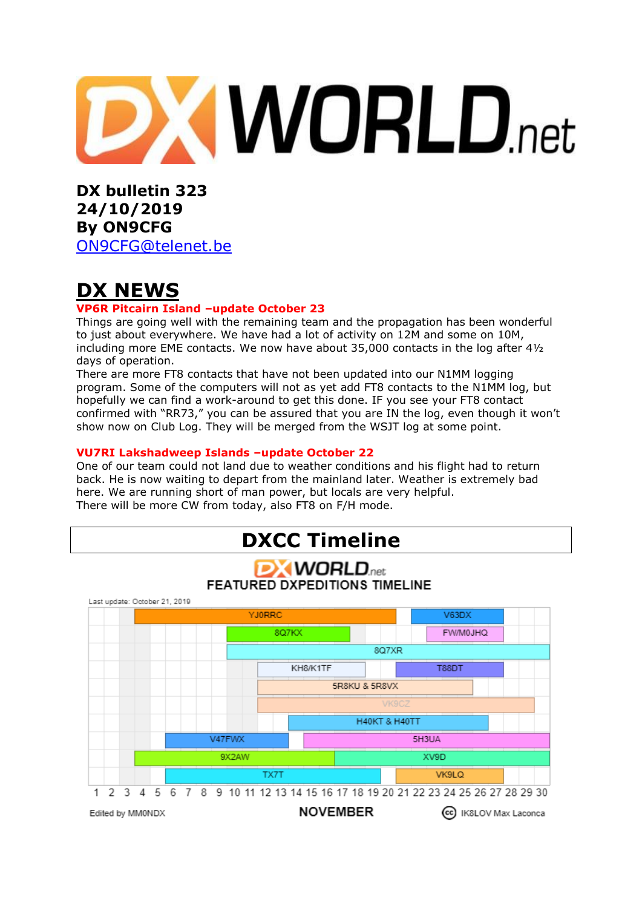

**DX bulletin 323 24/10/2019 By ON9CFG**  [ON9CFG@telenet.be](mailto:ON9CFG@telenet.be)

**DX NEWS**

#### **VP6R Pitcairn Island –update October 23**

Things are going well with the remaining team and the propagation has been wonderful to just about everywhere. We have had a lot of activity on 12M and some on 10M, including more EME contacts. We now have about 35,000 contacts in the log after 4½ days of operation.

There are more FT8 contacts that have not been updated into our N1MM logging program. Some of the computers will not as yet add FT8 contacts to the N1MM log, but hopefully we can find a work-around to get this done. IF you see your FT8 contact confirmed with "RR73," you can be assured that you are IN the log, even though it won't show now on Club Log. They will be merged from the WSJT log at some point.

#### **VU7RI Lakshadweep Islands –update October 22**

One of our team could not land due to weather conditions and his flight had to return back. He is now waiting to depart from the mainland later. Weather is extremely bad here. We are running short of man power, but locals are very helpful. There will be more CW from today, also FT8 on F/H mode.

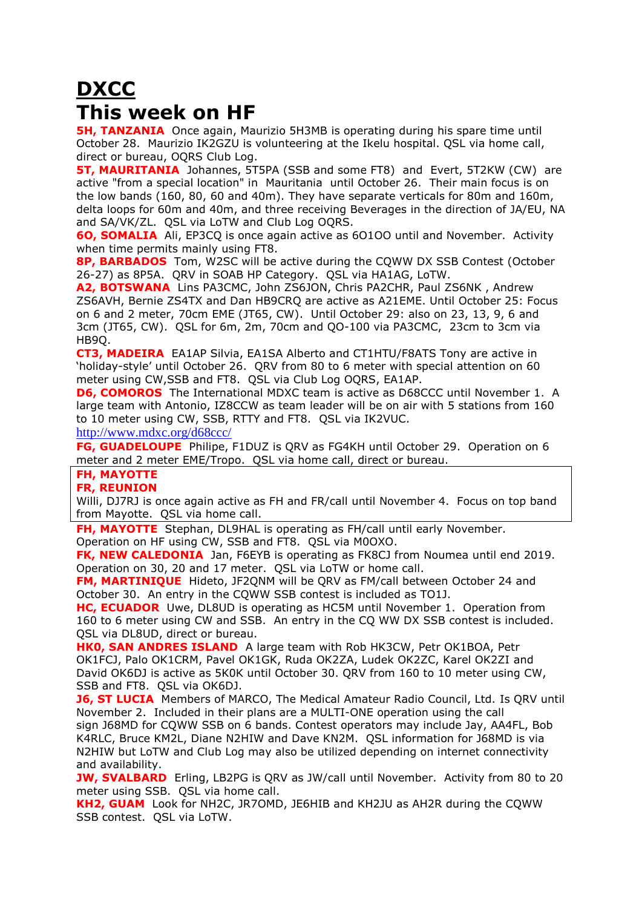# **DXCC This week on HF**

**5H, TANZANIA** Once again, Maurizio 5H3MB is operating during his spare time until October 28. Maurizio IK2GZU is volunteering at the Ikelu hospital. QSL via home call, direct or bureau, OQRS Club Log.

**5T, MAURITANIA** Johannes, 5T5PA (SSB and some FT8) and Evert, 5T2KW (CW) are active "from a special location" in Mauritania until October 26. Their main focus is on the low bands (160, 80, 60 and 40m). They have separate verticals for 80m and 160m, delta loops for 60m and 40m, and three receiving Beverages in the direction of JA/EU, NA and SA/VK/ZL. QSL via LoTW and Club Log OQRS.

**6O, SOMALIA** Ali, EP3CQ is once again active as 6O1OO until and November. Activity when time permits mainly using FT8.

**8P, BARBADOS** Tom, W2SC will be active during the CQWW DX SSB Contest (October 26-27) as 8P5A. QRV in SOAB HP Category. QSL via HA1AG, LoTW.

**A2, BOTSWANA** Lins PA3CMC, John ZS6JON, Chris PA2CHR, Paul ZS6NK , Andrew ZS6AVH, Bernie ZS4TX and Dan HB9CRQ are active as A21EME. Until October 25: Focus on 6 and 2 meter, 70cm EME (JT65, CW). Until October 29: also on 23, 13, 9, 6 and 3cm (JT65, CW). QSL for 6m, 2m, 70cm and QO-100 via PA3CMC, 23cm to 3cm via HB9Q.

**CT3, MADEIRA** EA1AP Silvia, EA1SA Alberto and CT1HTU/F8ATS Tony are active in 'holiday-style' until October 26. QRV from 80 to 6 meter with special attention on 60 meter using CW,SSB and FT8. QSL via Club Log OQRS, EA1AP.

**D6, COMOROS** The International MDXC team is active as D68CCC until November 1. A large team with Antonio, IZ8CCW as team leader will be on air with 5 stations from 160 to 10 meter using CW, SSB, RTTY and FT8. QSL via IK2VUC. <http://www.mdxc.org/d68ccc/>

**FG, GUADELOUPE** Philipe, F1DUZ is QRV as FG4KH until October 29. Operation on 6

### meter and 2 meter EME/Tropo. QSL via home call, direct or bureau.

## **FH, MAYOTTE**

#### **FR, REUNION**

Willi, DJ7RJ is once again active as FH and FR/call until November 4. Focus on top band from Mayotte. QSL via home call.

**FH, MAYOTTE** Stephan, DL9HAL is operating as FH/call until early November. Operation on HF using CW, SSB and FT8. QSL via M0OXO.

**FK, NEW CALEDONIA** Jan, F6EYB is operating as FK8CJ from Noumea until end 2019. Operation on 30, 20 and 17 meter. QSL via LoTW or home call.

**FM, MARTINIQUE** Hideto, JF2QNM will be QRV as FM/call between October 24 and October 30. An entry in the CQWW SSB contest is included as TO1J.

**HC, ECUADOR** Uwe, DL8UD is operating as HC5M until November 1. Operation from 160 to 6 meter using CW and SSB. An entry in the CQ WW DX SSB contest is included. QSL via DL8UD, direct or bureau.

**HK0, SAN ANDRES ISLAND** A large team with Rob HK3CW, Petr OK1BOA, Petr OK1FCJ, Palo OK1CRM, Pavel OK1GK, Ruda OK2ZA, Ludek OK2ZC, Karel OK2ZI and David OK6DJ is active as 5K0K until October 30. QRV from 160 to 10 meter using CW, SSB and FT8. QSL via OK6DJ.

**J6, ST LUCIA** Members of MARCO, The Medical Amateur Radio Council, Ltd. Is QRV until November 2. Included in their plans are a MULTI-ONE operation using the call sign J68MD for CQWW SSB on 6 bands. Contest operators may include Jay, AA4FL, Bob K4RLC, Bruce KM2L, Diane N2HIW and Dave KN2M. QSL information for J68MD is via N2HIW but LoTW and Club Log may also be utilized depending on internet connectivity and availability.

**JW, SVALBARD** Erling, LB2PG is ORV as JW/call until November. Activity from 80 to 20 meter using SSB. QSL via home call.

**KH2, GUAM** Look for NH2C, JR7OMD, JE6HIB and KH2JU as AH2R during the CQWW SSB contest. QSL via LoTW.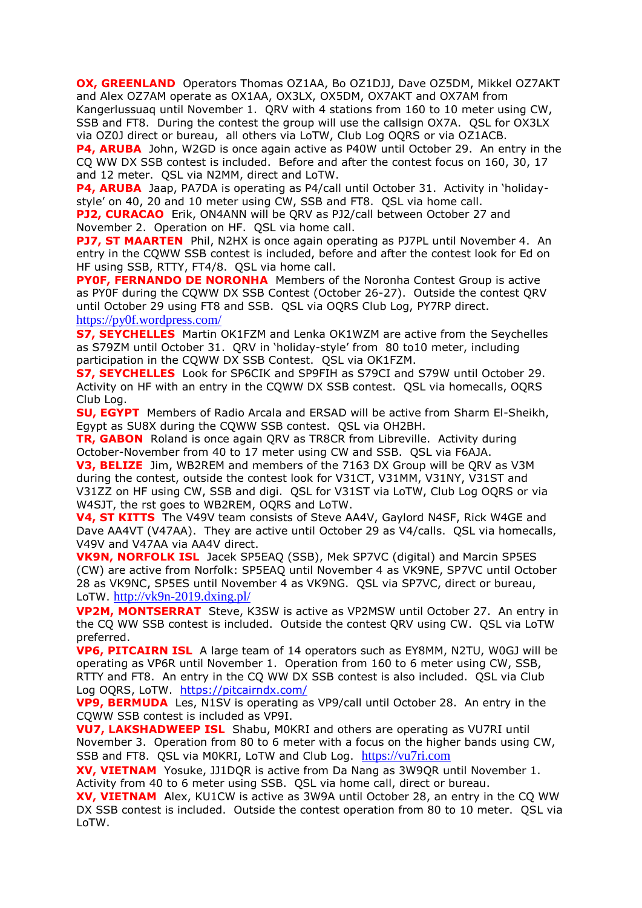**OX, GREENLAND** Operators Thomas OZ1AA, Bo OZ1DJJ, Dave OZ5DM, Mikkel OZ7AKT and Alex OZ7AM operate as OX1AA, OX3LX, OX5DM, OX7AKT and OX7AM from Kangerlussuaq until November 1. QRV with 4 stations from 160 to 10 meter using CW, SSB and FT8. During the contest the group will use the callsign OX7A. QSL for OX3LX via OZ0J direct or bureau, all others via LoTW, Club Log OQRS or via OZ1ACB.

**P4, ARUBA** John, W2GD is once again active as P40W until October 29. An entry in the CQ WW DX SSB contest is included. Before and after the contest focus on 160, 30, 17 and 12 meter. QSL via N2MM, direct and LoTW.

**P4, ARUBA** Jaap, PA7DA is operating as P4/call until October 31. Activity in 'holidaystyle' on 40, 20 and 10 meter using CW, SSB and FT8. QSL via home call.

**PJ2, CURACAO** Erik, ON4ANN will be ORV as PJ2/call between October 27 and November 2. Operation on HF. QSL via home call.

**PJ7, ST MAARTEN** Phil, N2HX is once again operating as PJ7PL until November 4. An entry in the CQWW SSB contest is included, before and after the contest look for Ed on HF using SSB, RTTY, FT4/8. QSL via home call.

**PY0F, FERNANDO DE NORONHA** Members of the Noronha Contest Group is active as PY0F during the CQWW DX SSB Contest (October 26-27). Outside the contest QRV until October 29 using FT8 and SSB. QSL via OQRS Club Log, PY7RP direct. <https://py0f.wordpress.com/>

**S7, SEYCHELLES** Martin OK1FZM and Lenka OK1WZM are active from the Seychelles as S79ZM until October 31. QRV in 'holiday-style' from 80 to10 meter, including participation in the CQWW DX SSB Contest. QSL via OK1FZM.

**S7, SEYCHELLES** Look for SP6CIK and SP9FIH as S79CI and S79W until October 29. Activity on HF with an entry in the CQWW DX SSB contest. QSL via homecalls, OQRS Club Log.

**SU, EGYPT** Members of Radio Arcala and ERSAD will be active from Sharm El-Sheikh, Egypt as SU8X during the CQWW SSB contest. QSL via OH2BH.

**TR, GABON** Roland is once again QRV as TR8CR from Libreville. Activity during October-November from 40 to 17 meter using CW and SSB. QSL via F6AJA.

**V3, BELIZE** Jim, WB2REM and members of the 7163 DX Group will be QRV as V3M during the contest, outside the contest look for V31CT, V31MM, V31NY, V31ST and V31ZZ on HF using CW, SSB and digi. QSL for V31ST via LoTW, Club Log OQRS or via W4SJT, the rst goes to WB2REM, OQRS and LoTW.

**V4, ST KITTS** The V49V team consists of Steve AA4V, Gaylord N4SF, Rick W4GE and Dave AA4VT (V47AA). They are active until October 29 as V4/calls. QSL via homecalls, V49V and V47AA via AA4V direct.

**VK9N, NORFOLK ISL** Jacek SP5EAQ (SSB), Mek SP7VC (digital) and Marcin SP5ES (CW) are active from Norfolk: SP5EAQ until November 4 as VK9NE, SP7VC until October 28 as VK9NC, SP5ES until November 4 as VK9NG. QSL via SP7VC, direct or bureau, LoTW. <http://vk9n-2019.dxing.pl/>

**VP2M, MONTSERRAT** Steve, K3SW is active as VP2MSW until October 27. An entry in the CQ WW SSB contest is included. Outside the contest QRV using CW. QSL via LoTW preferred.

**VP6, PITCAIRN ISL** A large team of 14 operators such as EY8MM, N2TU, W0GJ will be operating as VP6R until November 1. Operation from 160 to 6 meter using CW, SSB, RTTY and FT8. An entry in the CQ WW DX SSB contest is also included. QSL via Club Log OQRS, LoTW. <https://pitcairndx.com/>

**VP9, BERMUDA** Les, N1SV is operating as VP9/call until October 28. An entry in the CQWW SSB contest is included as VP9I.

**VU7, LAKSHADWEEP ISL** Shabu, M0KRI and others are operating as VU7RI until November 3. Operation from 80 to 6 meter with a focus on the higher bands using CW, SSB and FT8. QSL via M0KRI, LoTW and Club Log. [https://vu7ri.com](https://vu7ri.com/)

**XV, VIETNAM** Yosuke, JJ1DQR is active from Da Nang as 3W9QR until November 1. Activity from 40 to 6 meter using SSB. QSL via home call, direct or bureau.

**XV, VIETNAM** Alex, KU1CW is active as 3W9A until October 28, an entry in the CQ WW DX SSB contest is included. Outside the contest operation from 80 to 10 meter. QSL via LoTW.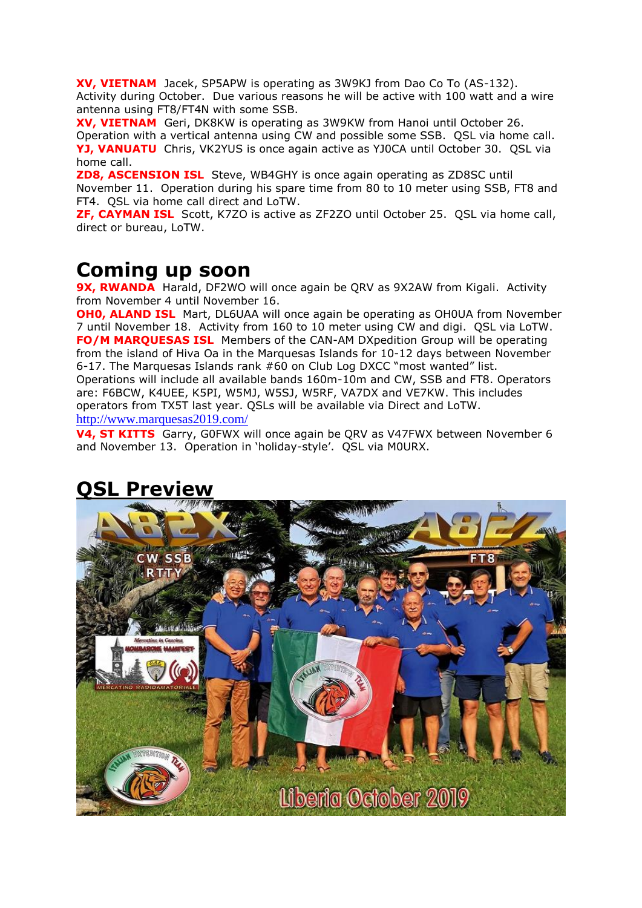**XV, VIETNAM** Jacek, SP5APW is operating as 3W9KJ from Dao Co To (AS-132). Activity during October. Due various reasons he will be active with 100 watt and a wire antenna using FT8/FT4N with some SSB.

**XV, VIETNAM** Geri, DK8KW is operating as 3W9KW from Hanoi until October 26. Operation with a vertical antenna using CW and possible some SSB. QSL via home call. **YJ, VANUATU** Chris, VK2YUS is once again active as YJ0CA until October 30. QSL via home call.

**ZD8, ASCENSION ISL** Steve, WB4GHY is once again operating as ZD8SC until November 11. Operation during his spare time from 80 to 10 meter using SSB, FT8 and FT4. QSL via home call direct and LoTW.

**ZF, CAYMAN ISL** Scott, K7ZO is active as ZF2ZO until October 25. QSL via home call, direct or bureau, LoTW.

# **Coming up soon**

**9X, RWANDA** Harald, DF2WO will once again be QRV as 9X2AW from Kigali. Activity from November 4 until November 16.

**OHO, ALAND ISL** Mart, DL6UAA will once again be operating as OH0UA from November 7 until November 18. Activity from 160 to 10 meter using CW and digi. QSL via LoTW. **FO/M MARQUESAS ISL** Members of the CAN-AM DXpedition Group will be operating from the island of Hiva Oa in the Marquesas Islands for 10-12 days between November 6-17. The Marquesas Islands rank #60 on Club Log DXCC "most wanted" list. Operations will include all available bands 160m-10m and CW, SSB and FT8. Operators are: F6BCW, K4UEE, K5PI, W5MJ, W5SJ, W5RF, VA7DX and VE7KW. This includes operators from TX5T last year. QSLs will be available via Direct and LoTW. <http://www.marquesas2019.com/>

**V4, ST KITTS** Garry, G0FWX will once again be QRV as V47FWX between November 6 and November 13. Operation in 'holiday-style'. QSL via M0URX.



# **QSL Preview**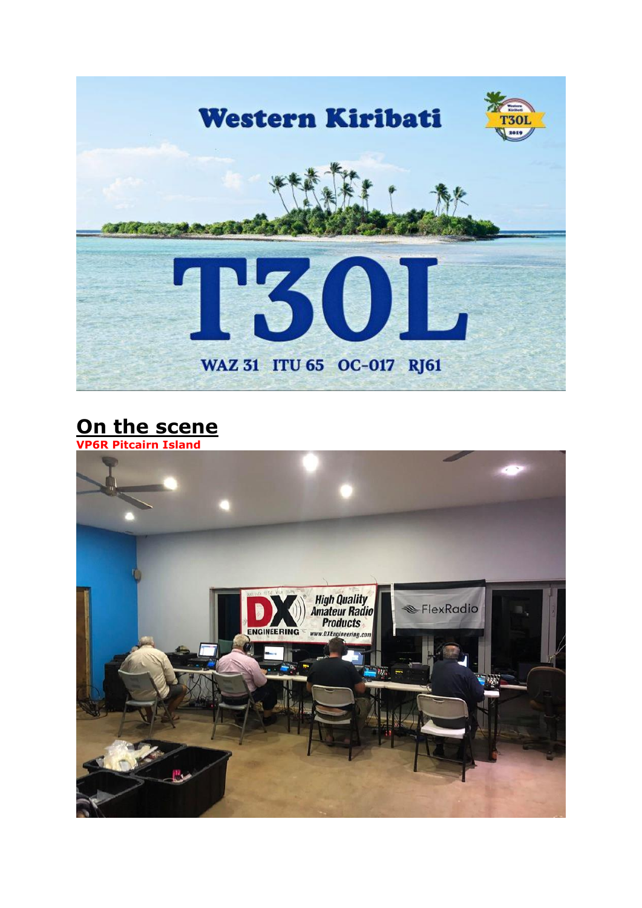

# **On the scene**

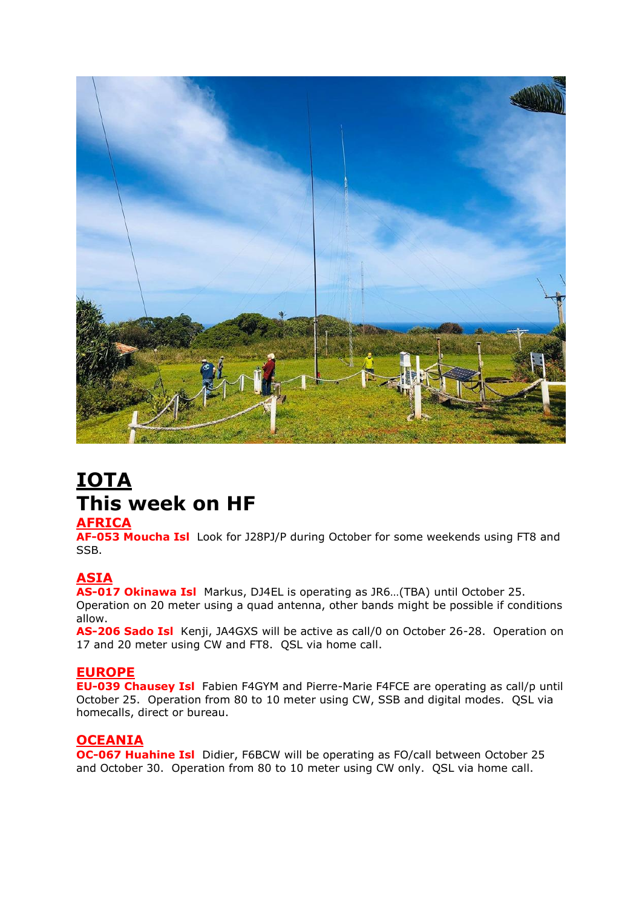

# **IOTA This week on HF**

#### **AFRICA**

**AF-053 Moucha Isl** Look for J28PJ/P during October for some weekends using FT8 and SSB.

### **ASIA**

**AS-017 Okinawa Isl** Markus, DJ4EL is operating as JR6…(TBA) until October 25.

Operation on 20 meter using a quad antenna, other bands might be possible if conditions allow.

**AS-206 Sado Isl** Kenji, JA4GXS will be active as call/0 on October 26-28. Operation on 17 and 20 meter using CW and FT8. QSL via home call.

#### **EUROPE**

**EU-039 Chausey Isl** Fabien F4GYM and Pierre-Marie F4FCE are operating as call/p until October 25. Operation from 80 to 10 meter using CW, SSB and digital modes. QSL via homecalls, direct or bureau.

### **OCEANIA**

**OC-067 Huahine Isl** Didier, F6BCW will be operating as FO/call between October 25 and October 30. Operation from 80 to 10 meter using CW only. QSL via home call.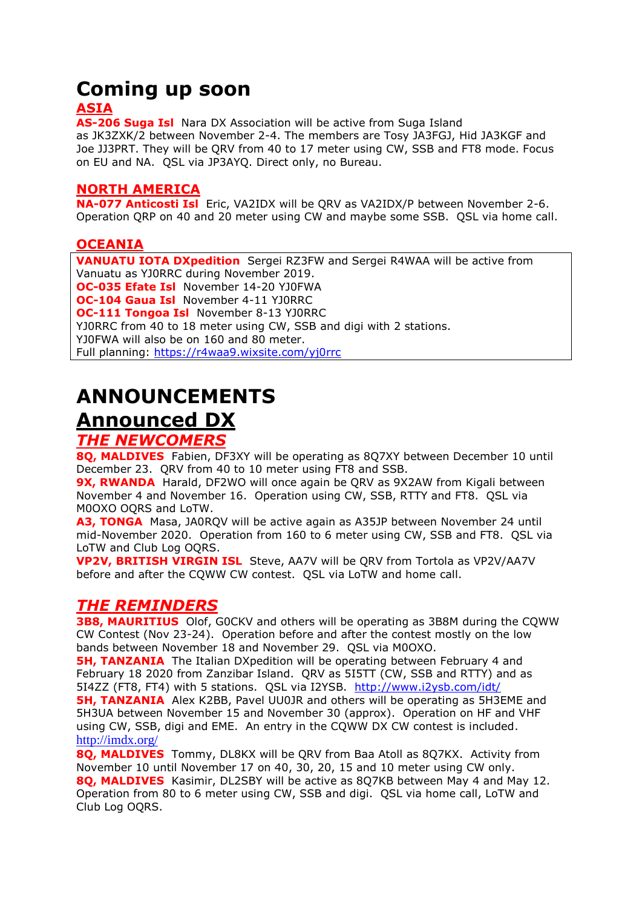# **Coming up soon**

## **ASIA**

**AS-206 Suga Isl** Nara DX Association will be active from Suga Island as JK3ZXK/2 between November 2-4. The members are Tosy JA3FGJ, Hid JA3KGF and Joe JJ3PRT. They will be QRV from 40 to 17 meter using CW, SSB and FT8 mode. Focus on EU and NA. QSL via JP3AYQ. Direct only, no Bureau.

### **NORTH AMERICA**

**NA-077 Anticosti Isl** Eric, VA2IDX will be QRV as VA2IDX/P between November 2-6. Operation QRP on 40 and 20 meter using CW and maybe some SSB. QSL via home call.

### **OCEANIA**

**VANUATU IOTA DXpedition** Sergei RZ3FW and Sergei R4WAA will be active from Vanuatu as YJ0RRC during November 2019. **OC-035 Efate Isl** November 14-20 YJ0FWA **OC-104 Gaua Isl** November 4-11 YJ0RRC **OC-111 Tongoa Isl** November 8-13 YJ0RRC YJ0RRC from 40 to 18 meter using CW, SSB and digi with 2 stations. YJ0FWA will also be on 160 and 80 meter. Full planning:<https://r4waa9.wixsite.com/yj0rrc>

# **ANNOUNCEMENTS Announced DX**

### *THE NEWCOMERS*

**8Q, MALDIVES** Fabien, DF3XY will be operating as 8Q7XY between December 10 until December 23. QRV from 40 to 10 meter using FT8 and SSB.

**9X, RWANDA** Harald, DF2WO will once again be QRV as 9X2AW from Kigali between November 4 and November 16. Operation using CW, SSB, RTTY and FT8. QSL via M0OXO OQRS and LoTW.

**A3, TONGA** Masa, JA0RQV will be active again as A35JP between November 24 until mid-November 2020. Operation from 160 to 6 meter using CW, SSB and FT8. QSL via LoTW and Club Log OQRS.

**VP2V, BRITISH VIRGIN ISL** Steve, AA7V will be QRV from Tortola as VP2V/AA7V before and after the CQWW CW contest. QSL via LoTW and home call.

## *THE REMINDERS*

**3B8, MAURITIUS** Olof, GOCKV and others will be operating as 3B8M during the CQWW CW Contest (Nov 23-24). Operation before and after the contest mostly on the low bands between November 18 and November 29. QSL via M0OXO.

**5H, TANZANIA** The Italian DXpedition will be operating between February 4 and February 18 2020 from Zanzibar Island. QRV as 5I5TT (CW, SSB and RTTY) and as 5I4ZZ (FT8, FT4) with 5 stations. QSL via I2YSB. <http://www.i2ysb.com/idt/> **5H, TANZANIA** Alex K2BB, Pavel UU0JR and others will be operating as 5H3EME and 5H3UA between November 15 and November 30 (approx). Operation on HF and VHF using CW, SSB, digi and EME. An entry in the CQWW DX CW contest is included. <http://imdx.org/>

**8Q, MALDIVES** Tommy, DL8KX will be QRV from Baa Atoll as 8Q7KX. Activity from November 10 until November 17 on 40, 30, 20, 15 and 10 meter using CW only. **8Q, MALDIVES** Kasimir, DL2SBY will be active as 8Q7KB between May 4 and May 12. Operation from 80 to 6 meter using CW, SSB and digi. QSL via home call, LoTW and Club Log OQRS.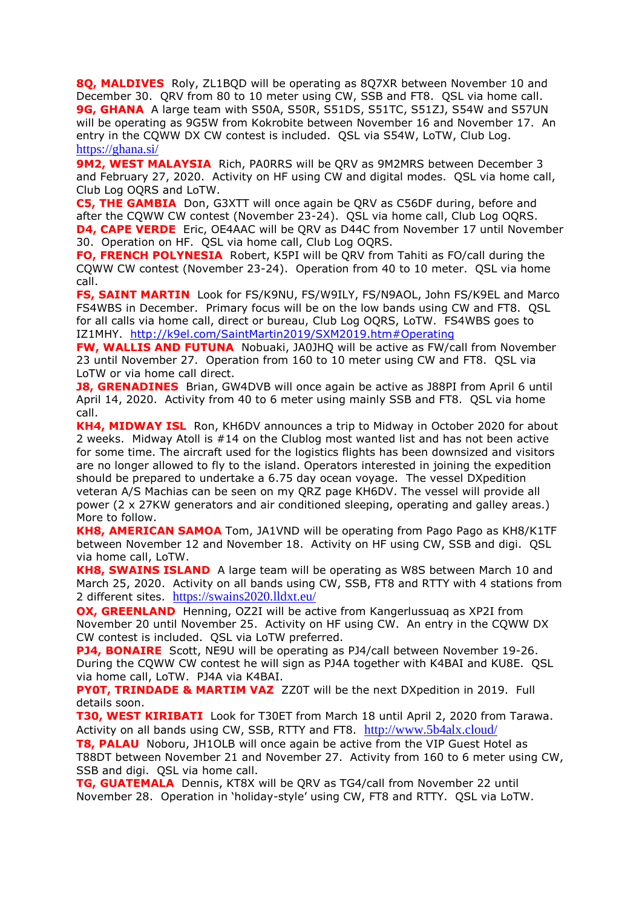**8Q, MALDIVES** Roly, ZL1BQD will be operating as 8Q7XR between November 10 and December 30. QRV from 80 to 10 meter using CW, SSB and FT8. QSL via home call. 9G, GHANA A large team with S50A, S50R, S51DS, S51TC, S51ZJ, S54W and S57UN will be operating as 9G5W from Kokrobite between November 16 and November 17. An entry in the CQWW DX CW contest is included. QSL via S54W, LoTW, Club Log. <https://ghana.si/>

**9M2, WEST MALAYSIA** Rich, PA0RRS will be QRV as 9M2MRS between December 3 and February 27, 2020. Activity on HF using CW and digital modes. QSL via home call, Club Log OQRS and LoTW.

**C5, THE GAMBIA** Don, G3XTT will once again be QRV as C56DF during, before and after the CQWW CW contest (November 23-24). QSL via home call, Club Log OQRS. **D4, CAPE VERDE** Eric, OE4AAC will be QRV as D44C from November 17 until November 30. Operation on HF. QSL via home call, Club Log OQRS.

**FO, FRENCH POLYNESIA** Robert, K5PI will be QRV from Tahiti as FO/call during the CQWW CW contest (November 23-24). Operation from 40 to 10 meter. QSL via home call.

**FS, SAINT MARTIN** Look for FS/K9NU, FS/W9ILY, FS/N9AOL, John FS/K9EL and Marco FS4WBS in December. Primary focus will be on the low bands using CW and FT8. QSL for all calls via home call, direct or bureau, Club Log OQRS, LoTW. FS4WBS goes to IZ1MHY. <http://k9el.com/SaintMartin2019/SXM2019.htm#Operating>

**FW, WALLIS AND FUTUNA** Nobuaki, JA0JHQ will be active as FW/call from November 23 until November 27. Operation from 160 to 10 meter using CW and FT8. QSL via LoTW or via home call direct.

**J8, GRENADINES** Brian, GW4DVB will once again be active as J88PI from April 6 until April 14, 2020. Activity from 40 to 6 meter using mainly SSB and FT8. QSL via home call.

**KH4, MIDWAY ISL** Ron, KH6DV announces a trip to Midway in October 2020 for about 2 weeks. Midway Atoll is #14 on the Clublog most wanted list and has not been active for some time. The aircraft used for the logistics flights has been downsized and visitors are no longer allowed to fly to the island. Operators interested in joining the expedition should be prepared to undertake a 6.75 day ocean voyage. The vessel DXpedition veteran A/S Machias can be seen on my QRZ page KH6DV. The vessel will provide all power (2 x 27KW generators and air conditioned sleeping, operating and galley areas.) More to follow.

**KH8, AMERICAN SAMOA** Tom, JA1VND will be operating from Pago Pago as KH8/K1TF between November 12 and November 18. Activity on HF using CW, SSB and digi. QSL via home call, LoTW.

**KH8, SWAINS ISLAND** A large team will be operating as W8S between March 10 and March 25, 2020. Activity on all bands using CW, SSB, FT8 and RTTY with 4 stations from 2 different sites. <https://swains2020.lldxt.eu/>

**OX, GREENLAND** Henning, OZ2I will be active from Kangerlussuag as XP2I from November 20 until November 25. Activity on HF using CW. An entry in the CQWW DX CW contest is included. QSL via LoTW preferred.

**PJ4, BONAIRE** Scott, NE9U will be operating as PJ4/call between November 19-26. During the CQWW CW contest he will sign as PJ4A together with K4BAI and KU8E. QSL via home call, LoTW. PJ4A via K4BAI.

**PY0T, TRINDADE & MARTIM VAZ** ZZ0T will be the next DXpedition in 2019. Full details soon.

**T30, WEST KIRIBATI** Look for T30ET from March 18 until April 2, 2020 from Tarawa. Activity on all bands using CW, SSB, RTTY and FT8. <http://www.5b4alx.cloud/>

**T8, PALAU** Noboru, JH1OLB will once again be active from the VIP Guest Hotel as T88DT between November 21 and November 27. Activity from 160 to 6 meter using CW, SSB and digi. QSL via home call.

**TG, GUATEMALA** Dennis, KT8X will be QRV as TG4/call from November 22 until November 28. Operation in 'holiday-style' using CW, FT8 and RTTY. QSL via LoTW.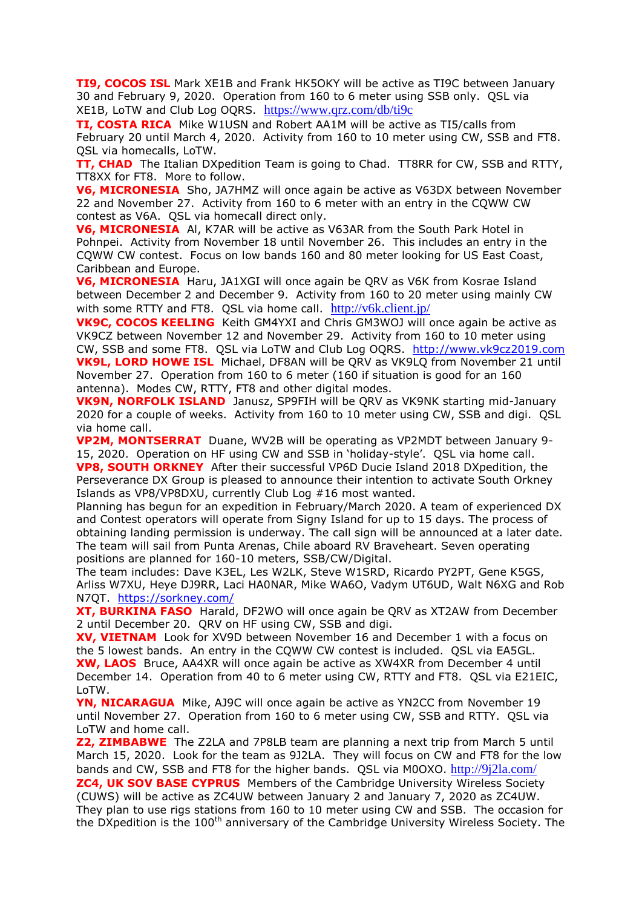**TI9, COCOS ISL** Mark XE1B and Frank HK5OKY will be active as TI9C between January 30 and February 9, 2020. Operation from 160 to 6 meter using SSB only. QSL via XE1B, LoTW and Club Log OQRS. <https://www.qrz.com/db/ti9c>

**TI, COSTA RICA** Mike W1USN and Robert AA1M will be active as TI5/calls from February 20 until March 4, 2020. Activity from 160 to 10 meter using CW, SSB and FT8. QSL via homecalls, LoTW.

**TT, CHAD** The Italian DXpedition Team is going to Chad. TT8RR for CW, SSB and RTTY, TT8XX for FT8. More to follow.

**V6, MICRONESIA** Sho, JA7HMZ will once again be active as V63DX between November 22 and November 27. Activity from 160 to 6 meter with an entry in the CQWW CW contest as V6A. QSL via homecall direct only.

**V6, MICRONESIA** Al, K7AR will be active as V63AR from the South Park Hotel in Pohnpei. Activity from November 18 until November 26. This includes an entry in the CQWW CW contest. Focus on low bands 160 and 80 meter looking for US East Coast, Caribbean and Europe.

**V6, MICRONESIA** Haru, JA1XGI will once again be QRV as V6K from Kosrae Island between December 2 and December 9. Activity from 160 to 20 meter using mainly CW with some RTTY and FT8. QSL via home call.  $http://v6k.client.jp/$  $http://v6k.client.jp/$  $http://v6k.client.jp/$ </u>

**VK9C, COCOS KEELING** Keith GM4YXI and Chris GM3WOJ will once again be active as VK9CZ between November 12 and November 29. Activity from 160 to 10 meter using CW, SSB and some FT8. QSL via LoTW and Club Log OQRS. [http://www.vk9cz2019.com](http://www.vk9cz2019.com/) **VK9L, LORD HOWE ISL** Michael, DF8AN will be QRV as VK9LQ from November 21 until November 27. Operation from 160 to 6 meter (160 if situation is good for an 160 antenna). Modes CW, RTTY, FT8 and other digital modes.

**VK9N, NORFOLK ISLAND** Janusz, SP9FIH will be QRV as VK9NK starting mid-January 2020 for a couple of weeks. Activity from 160 to 10 meter using CW, SSB and digi. QSL via home call.

**VP2M, MONTSERRAT** Duane, WV2B will be operating as VP2MDT between January 9- 15, 2020. Operation on HF using CW and SSB in 'holiday-style'. QSL via home call.

**VP8, SOUTH ORKNEY** After their successful VP6D Ducie Island 2018 DXpedition, the Perseverance DX Group is pleased to announce their intention to activate South Orkney Islands as VP8/VP8DXU, currently Club Log #16 most wanted.

Planning has begun for an expedition in February/March 2020. A team of experienced DX and Contest operators will operate from Signy Island for up to 15 days. The process of obtaining landing permission is underway. The call sign will be announced at a later date. The team will sail from Punta Arenas, Chile aboard RV Braveheart. Seven operating positions are planned for 160-10 meters, SSB/CW/Digital.

The team includes: Dave K3EL, Les W2LK, Steve W1SRD, Ricardo PY2PT, Gene K5GS, Arliss W7XU, Heye DJ9RR, Laci HA0NAR, Mike WA6O, Vadym UT6UD, Walt N6XG and Rob N7QT. <https://sorkney.com/>

**XT, BURKINA FASO** Harald, DF2WO will once again be QRV as XT2AW from December 2 until December 20. QRV on HF using CW, SSB and digi.

**XV, VIETNAM** Look for XV9D between November 16 and December 1 with a focus on the 5 lowest bands. An entry in the CQWW CW contest is included. QSL via EA5GL. **XW, LAOS** Bruce, AA4XR will once again be active as XW4XR from December 4 until December 14. Operation from 40 to 6 meter using CW, RTTY and FT8. QSL via E21EIC, LoTW.

**YN, NICARAGUA** Mike, AJ9C will once again be active as YN2CC from November 19 until November 27. Operation from 160 to 6 meter using CW, SSB and RTTY. QSL via LoTW and home call.

**Z2, ZIMBABWE** The Z2LA and 7P8LB team are planning a next trip from March 5 until March 15, 2020. Look for the team as 9J2LA. They will focus on CW and FT8 for the low bands and CW, SSB and FT8 for the higher bands. QSL via M0OXO. <http://9j2la.com/>

**ZC4, UK SOV BASE CYPRUS** Members of the Cambridge University Wireless Society (CUWS) will be active as ZC4UW between January 2 and January 7, 2020 as ZC4UW. They plan to use rigs stations from 160 to 10 meter using CW and SSB. The occasion for the DXpedition is the 100<sup>th</sup> anniversary of the Cambridge University Wireless Society. The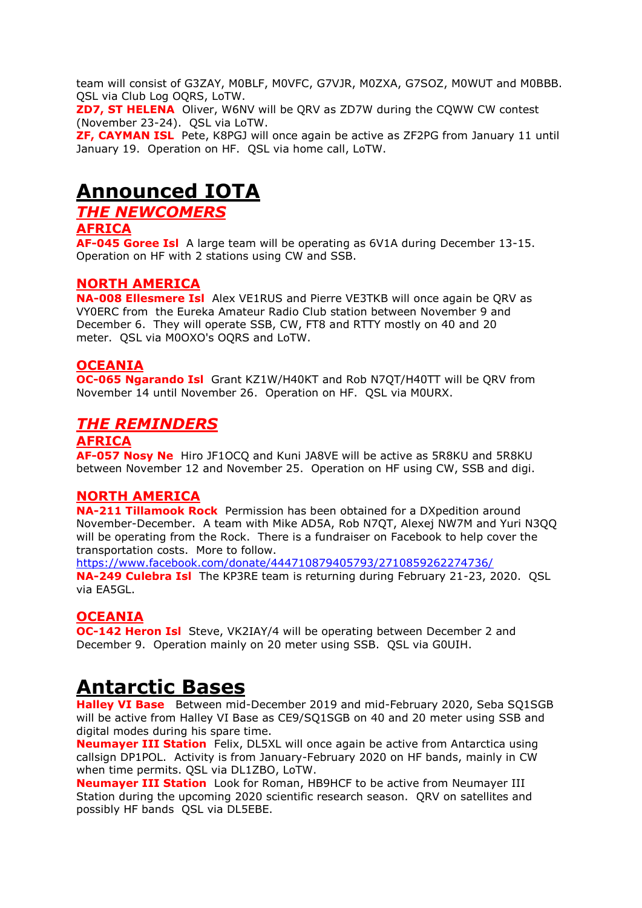team will consist of G3ZAY, M0BLF, M0VFC, G7VJR, M0ZXA, G7SOZ, M0WUT and M0BBB. QSL via Club Log OQRS, LoTW.

**ZD7, ST HELENA** Oliver, W6NV will be QRV as ZD7W during the CQWW CW contest (November 23-24). QSL via LoTW.

**ZF, CAYMAN ISL** Pete, K8PGJ will once again be active as ZF2PG from January 11 until January 19. Operation on HF. QSL via home call, LoTW.

## **Announced IOTA**

*THE NEWCOMERS*

#### **AFRICA**

**AF-045 Goree Isl** A large team will be operating as 6V1A during December 13-15. Operation on HF with 2 stations using CW and SSB.

### **NORTH AMERICA**

**NA-008 Ellesmere Isl** Alex VE1RUS and Pierre VE3TKB will once again be QRV as VY0ERC from the Eureka Amateur Radio Club station between November 9 and December 6. They will operate SSB, CW, FT8 and RTTY mostly on 40 and 20 meter. QSL via M0OXO's OQRS and LoTW.

### **OCEANIA**

**OC-065 Ngarando Isl** Grant KZ1W/H40KT and Rob N7QT/H40TT will be QRV from November 14 until November 26. Operation on HF. QSL via M0URX.

### *THE REMINDERS*

### **AFRICA**

**AF-057 Nosy Ne** Hiro JF1OCQ and Kuni JA8VE will be active as 5R8KU and 5R8KU between November 12 and November 25. Operation on HF using CW, SSB and digi.

#### **NORTH AMERICA**

**NA-211 Tillamook Rock** Permission has been obtained for a DXpedition around November-December. A team with Mike AD5A, Rob N7QT, Alexej NW7M and Yuri N3QQ will be operating from the Rock. There is a fundraiser on Facebook to help cover the transportation costs. More to follow.

<https://www.facebook.com/donate/444710879405793/2710859262274736/> **NA-249 Culebra Isl** The KP3RE team is returning during February 21-23, 2020. QSL via EA5GL.

### **OCEANIA**

**OC-142 Heron Isl** Steve, VK2IAY/4 will be operating between December 2 and December 9. Operation mainly on 20 meter using SSB. QSL via G0UIH.

# **Antarctic Bases**

**Halley VI Base** Between mid-December 2019 and mid-February 2020, Seba SQ1SGB will be active from Halley VI Base as CE9/SQ1SGB on 40 and 20 meter using SSB and digital modes during his spare time.

**Neumayer III Station** Felix, DL5XL will once again be active from Antarctica using callsign DP1POL. Activity is from January-February 2020 on HF bands, mainly in CW when time permits. QSL via DL1ZBO, LoTW.

**Neumayer III Station** Look for Roman, HB9HCF to be active from Neumayer III Station during the upcoming 2020 scientific research season. QRV on satellites and possibly HF bands QSL via DL5EBE.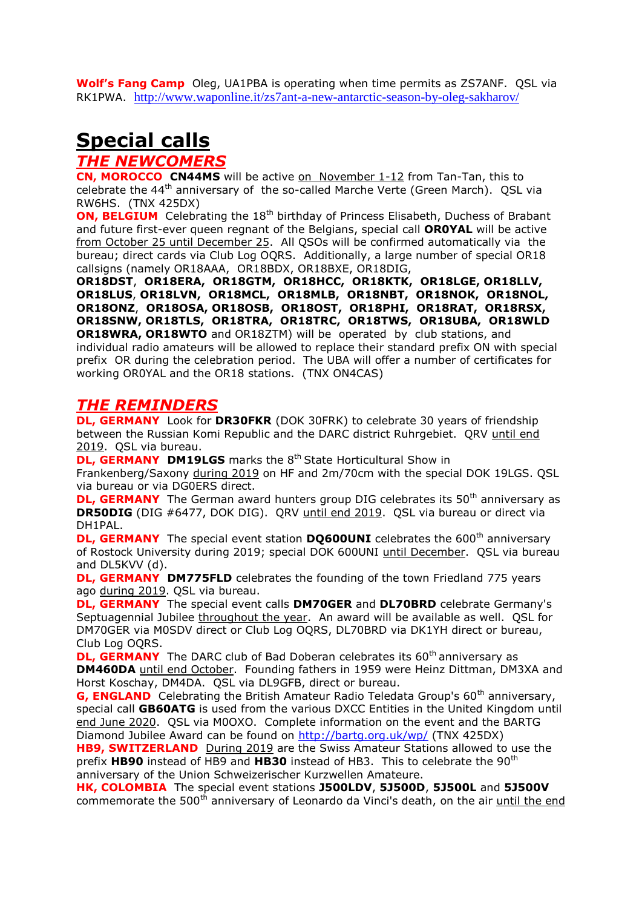**Wolf's Fang Camp** Oleg, UA1PBA is operating when time permits as ZS7ANF. QSL via RK1PWA. <http://www.waponline.it/zs7ant-a-new-antarctic-season-by-oleg-sakharov/>

# **Special calls**

### *THE NEWCOMERS*

**CN, MOROCCO CN44MS** will be active on November 1-12 from Tan-Tan, this to celebrate the 44<sup>th</sup> anniversary of the so-called Marche Verte (Green March). QSL via RW6HS. (TNX 425DX)

**ON, BELGIUM** Celebrating the 18<sup>th</sup> birthday of Princess Elisabeth, Duchess of Brabant and future first-ever queen regnant of the Belgians, special call **OR0YAL** will be active from October 25 until December 25. All QSOs will be confirmed automatically via the bureau; direct cards via Club Log OQRS. Additionally, a large number of special OR18 callsigns (namely OR18AAA, OR18BDX, OR18BXE, OR18DIG,

**OR18DST**, **OR18ERA, OR18GTM, OR18HCC, OR18KTK, OR18LGE, OR18LLV, OR18LUS**, **OR18LVN, OR18MCL, OR18MLB, OR18NBT, OR18NOK, OR18NOL, OR18ONZ**, **OR18OSA, OR18OSB, OR18OST, OR18PHI, OR18RAT, OR18RSX, OR18SNW, OR18TLS, OR18TRA, OR18TRC, OR18TWS, OR18UBA, OR18WLD OR18WRA, OR18WTO** and OR18ZTM) will be operated by club stations, and individual radio amateurs will be allowed to replace their standard prefix ON with special prefix OR during the celebration period. The UBA will offer a number of certificates for working OR0YAL and the OR18 stations. (TNX ON4CAS)

### *THE REMINDERS*

**DL, GERMANY** Look for **DR30FKR** (DOK 30FRK) to celebrate 30 years of friendship between the Russian Komi Republic and the DARC district Ruhrgebiet. QRV until end 2019. QSL via bureau.

**DL, GERMANY DM19LGS** marks the 8<sup>th</sup> State Horticultural Show in

Frankenberg/Saxony during 2019 on HF and 2m/70cm with the special DOK 19LGS. QSL via bureau or via DG0ERS direct.

**DL, GERMANY** The German award hunters group DIG celebrates its 50<sup>th</sup> anniversary as **DR50DIG** (DIG #6477, DOK DIG). QRV until end 2019. QSL via bureau or direct via DH1PAL.

**DL, GERMANY** The special event station **DO600UNI** celebrates the 600<sup>th</sup> anniversary of Rostock University during 2019; special DOK 600UNI until December. QSL via bureau and DL5KVV (d).

**DL, GERMANY DM775FLD** celebrates the founding of the town Friedland 775 years ago during 2019. QSL via bureau.

**DL, GERMANY** The special event calls **DM70GER** and **DL70BRD** celebrate Germany's Septuagennial Jubilee throughout the year. An award will be available as well. QSL for DM70GER via M0SDV direct or Club Log OQRS, DL70BRD via DK1YH direct or bureau, Club Log OQRS.

**DL, GERMANY** The DARC club of Bad Doberan celebrates its 60<sup>th</sup> anniversary as **DM460DA** until end October. Founding fathers in 1959 were Heinz Dittman, DM3XA and Horst Koschay, DM4DA. QSL via DL9GFB, direct or bureau.

**G. ENGLAND** Celebrating the British Amateur Radio Teledata Group's 60<sup>th</sup> anniversary, special call **GB60ATG** is used from the various DXCC Entities in the United Kingdom until end June 2020. QSL via M0OXO. Complete information on the event and the BARTG Diamond Jubilee Award can be found on<http://bartg.org.uk/wp/> (TNX 425DX)

**HB9, SWITZERLAND** During 2019 are the Swiss Amateur Stations allowed to use the prefix **HB90** instead of HB9 and **HB30** instead of HB3. This to celebrate the 90th anniversary of the Union Schweizerischer Kurzwellen Amateure.

**HK, COLOMBIA** The special event stations **J500LDV**, **5J500D**, **5J500L** and **5J500V** commemorate the 500<sup>th</sup> anniversary of Leonardo da Vinci's death, on the air until the end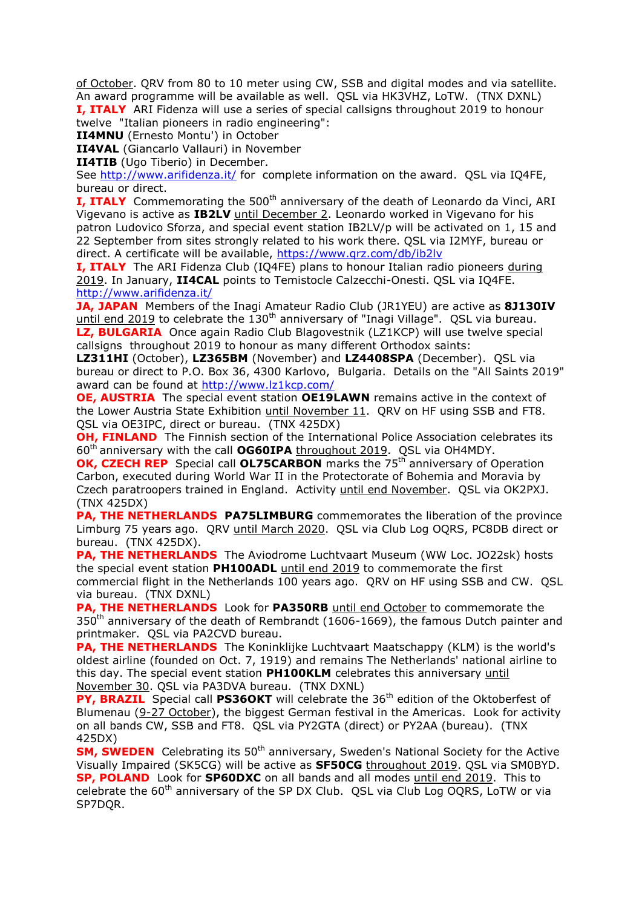of October. QRV from 80 to 10 meter using CW, SSB and digital modes and via satellite. An award programme will be available as well. QSL via HK3VHZ, LoTW. (TNX DXNL) **I, ITALY** ARI Fidenza will use a series of special callsigns throughout 2019 to honour

twelve "Italian pioneers in radio engineering":

**II4MNU** (Ernesto Montu') in October

**II4VAL** (Giancarlo Vallauri) in November

**II4TIB** (Ugo Tiberio) in December.

See<http://www.arifidenza.it/> for complete information on the award. OSL via IO4FE, bureau or direct.

**I, ITALY** Commemorating the 500<sup>th</sup> anniversary of the death of Leonardo da Vinci, ARI Vigevano is active as **IB2LV** until December 2. Leonardo worked in Vigevano for his patron Ludovico Sforza, and special event station IB2LV/p will be activated on 1, 15 and 22 September from sites strongly related to his work there. QSL via I2MYF, bureau or direct. A certificate will be available,<https://www.qrz.com/db/ib2lv>

**I, ITALY** The ARI Fidenza Club (IQ4FE) plans to honour Italian radio pioneers during 2019. In January, **II4CAL** points to Temistocle Calzecchi-Onesti. QSL via IQ4FE. <http://www.arifidenza.it/>

**JA, JAPAN** Members of the Inagi Amateur Radio Club (JR1YEU) are active as **8J130IV** until end  $2019$  to celebrate the  $130<sup>th</sup>$  anniversary of "Inagi Village". QSL via bureau. **LZ, BULGARIA** Once again Radio Club Blagovestnik (LZ1KCP) will use twelve special callsigns throughout 2019 to honour as many different Orthodox saints:

**LZ311HI** (October), **LZ365BM** (November) and **LZ4408SPA** (December). QSL via bureau or direct to P.O. Box 36, 4300 Karlovo, Bulgaria. Details on the "All Saints 2019" award can be found at<http://www.lz1kcp.com/>

**OE, AUSTRIA** The special event station **OE19LAWN** remains active in the context of the Lower Austria State Exhibition until November 11. QRV on HF using SSB and FT8. QSL via OE3IPC, direct or bureau. (TNX 425DX)

**OH, FINLAND** The Finnish section of the International Police Association celebrates its 60th anniversary with the call **OG60IPA** throughout 2019. QSL via OH4MDY.

**OK, CZECH REP** Special call **OL75CARBON** marks the 75<sup>th</sup> anniversary of Operation Carbon, executed during World War II in the Protectorate of Bohemia and Moravia by Czech paratroopers trained in England. Activity until end November. QSL via OK2PXJ. (TNX 425DX)

**PA, THE NETHERLANDS PA75LIMBURG** commemorates the liberation of the province Limburg 75 years ago. QRV until March 2020. QSL via Club Log OQRS, PC8DB direct or bureau. (TNX 425DX).

**PA, THE NETHERLANDS** The Aviodrome Luchtvaart Museum (WW Loc. JO22sk) hosts the special event station **PH100ADL** until end 2019 to commemorate the first commercial flight in the Netherlands 100 years ago. QRV on HF using SSB and CW. QSL via bureau. (TNX DXNL)

**PA, THE NETHERLANDS** Look for **PA350RB** until end October to commemorate the  $350<sup>th</sup>$  anniversary of the death of Rembrandt (1606-1669), the famous Dutch painter and printmaker. QSL via PA2CVD bureau.

**PA, THE NETHERLANDS** The Koninklijke Luchtvaart Maatschappy (KLM) is the world's oldest airline (founded on Oct. 7, 1919) and remains The Netherlands' national airline to this day. The special event station **PH100KLM** celebrates this anniversary until November 30. QSL via PA3DVA bureau. (TNX DXNL)

**PY, BRAZIL** Special call PS36OKT will celebrate the 36<sup>th</sup> edition of the Oktoberfest of Blumenau (9-27 October), the biggest German festival in the Americas. Look for activity on all bands CW, SSB and FT8. QSL via PY2GTA (direct) or PY2AA (bureau). (TNX 425DX)

**SM, SWEDEN** Celebrating its 50<sup>th</sup> anniversary, Sweden's National Society for the Active Visually Impaired (SK5CG) will be active as **SF50CG** throughout 2019. QSL via SM0BYD. **SP, POLAND** Look for **SP60DXC** on all bands and all modes until end 2019. This to celebrate the  $60<sup>th</sup>$  anniversary of the SP DX Club. QSL via Club Log OQRS, LoTW or via SP7DQR.